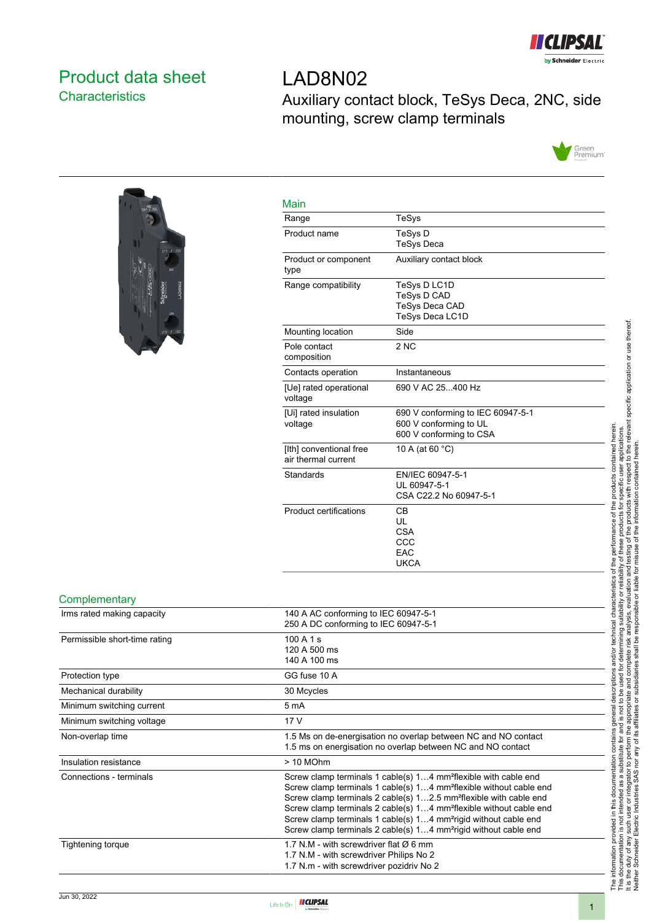

## <span id="page-0-0"></span>Product data sheet **Characteristics**

# LAD8N02 Auxiliary contact block, TeSys Deca, 2NC, side mounting, screw clamp terminals





| Main                                           |                                                                                        |
|------------------------------------------------|----------------------------------------------------------------------------------------|
| Range                                          | TeSys                                                                                  |
| Product name                                   | TeSys D<br><b>TeSys Deca</b>                                                           |
| Product or component<br>type                   | Auxiliary contact block                                                                |
| Range compatibility                            | TeSys D LC1D<br>TeSys D CAD<br><b>TeSys Deca CAD</b><br>TeSys Deca LC1D                |
| Mounting location                              | Side                                                                                   |
| Pole contact<br>composition                    | 2 <sub>NC</sub>                                                                        |
| Contacts operation                             | Instantaneous                                                                          |
| [Ue] rated operational<br>voltage              | 690 V AC 25400 Hz                                                                      |
| [Ui] rated insulation<br>voltage               | 690 V conforming to IEC 60947-5-1<br>600 V conforming to UL<br>600 V conforming to CSA |
| [Ith] conventional free<br>air thermal current | 10 A (at 60 °C)                                                                        |
| Standards                                      | EN/IEC 60947-5-1<br>UL 60947-5-1<br>CSA C22.2 No 60947-5-1                             |
| Product certifications                         | СB<br>UL<br><b>CSA</b><br>CCC<br>EAC<br><b>UKCA</b>                                    |
|                                                |                                                                                        |

#### **Complementary**

| Irms rated making capacity    | 140 A AC conforming to IEC 60947-5-1<br>250 A DC conforming to IEC 60947-5-1                                                                                                                                                                                                                                                                                                                                                                                                                   |
|-------------------------------|------------------------------------------------------------------------------------------------------------------------------------------------------------------------------------------------------------------------------------------------------------------------------------------------------------------------------------------------------------------------------------------------------------------------------------------------------------------------------------------------|
| Permissible short-time rating | 100A1s<br>120 A 500 ms<br>140 A 100 ms                                                                                                                                                                                                                                                                                                                                                                                                                                                         |
| Protection type               | GG fuse 10 A                                                                                                                                                                                                                                                                                                                                                                                                                                                                                   |
| Mechanical durability         | 30 Mcycles                                                                                                                                                                                                                                                                                                                                                                                                                                                                                     |
| Minimum switching current     | 5 mA                                                                                                                                                                                                                                                                                                                                                                                                                                                                                           |
| Minimum switching voltage     | 17 V                                                                                                                                                                                                                                                                                                                                                                                                                                                                                           |
| Non-overlap time              | 1.5 Ms on de-energisation no overlap between NC and NO contact<br>1.5 ms on energisation no overlap between NC and NO contact                                                                                                                                                                                                                                                                                                                                                                  |
| Insulation resistance         | $> 10$ MOhm                                                                                                                                                                                                                                                                                                                                                                                                                                                                                    |
| Connections - terminals       | Screw clamp terminals 1 cable(s) 14 mm <sup>2</sup> flexible with cable end<br>Screw clamp terminals 1 cable(s) 14 mm <sup>2</sup> flexible without cable end<br>Screw clamp terminals 2 cable(s) 12.5 mm <sup>2</sup> flexible with cable end<br>Screw clamp terminals 2 cable(s) 14 mm <sup>2</sup> flexible without cable end<br>Screw clamp terminals 1 cable(s) 14 mm <sup>2</sup> rigid without cable end<br>Screw clamp terminals 2 cable(s) 14 mm <sup>2</sup> rigid without cable end |
| Tightening torque             | 1.7 N.M - with screwdriver flat $\varnothing$ 6 mm<br>1.7 N.M - with screwdriver Philips No 2<br>1.7 N.m - with screwdriver pozidriv No 2                                                                                                                                                                                                                                                                                                                                                      |